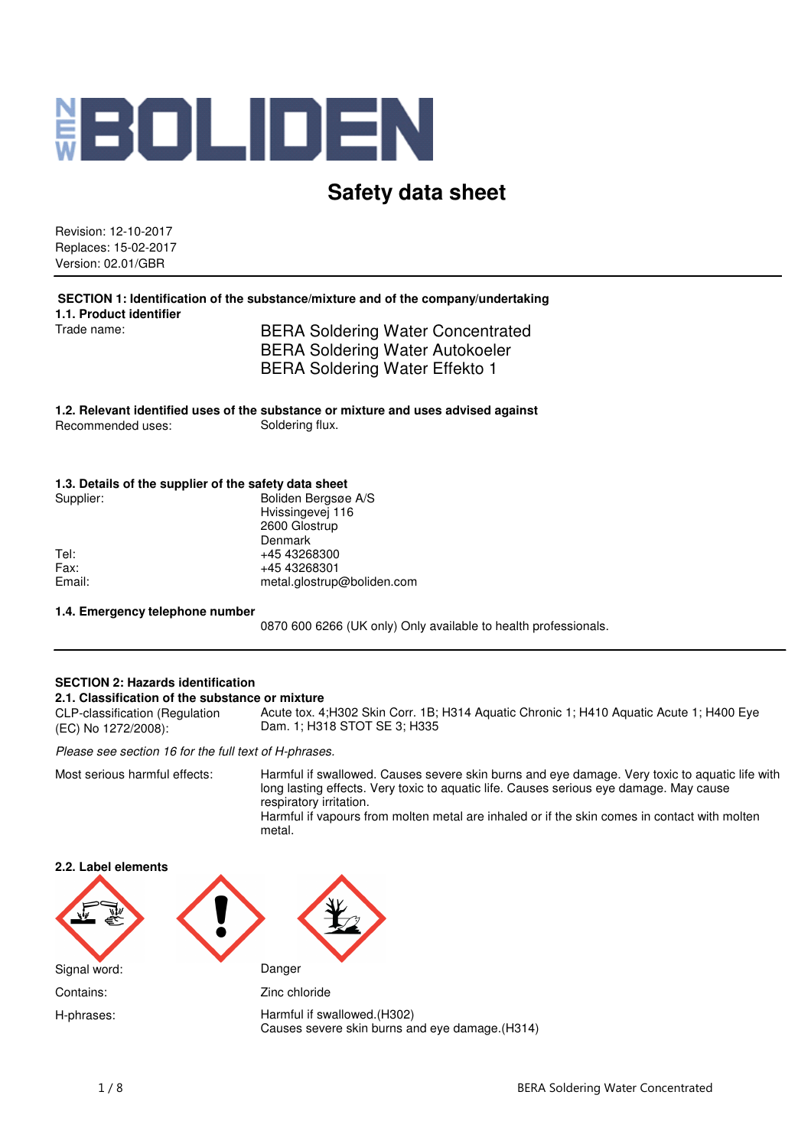

# **Safety data sheet**

Revision: 12-10-2017 Replaces: 15-02-2017 Version: 02.01/GBR

**SECTION 1: Identification of the substance/mixture and of the company/undertaking 1.1. Product identifier** Trade name: BERA Soldering Water Concentrated

BERA Soldering Water Autokoeler BERA Soldering Water Effekto 1

**1.2. Relevant identified uses of the substance or mixture and uses advised against** Recommended uses:

#### **1.3. Details of the supplier of the safety data sheet**

| Supplier: | Boliden Bergsøe A/S        |
|-----------|----------------------------|
|           | Hvissingevej 116           |
|           | 2600 Glostrup              |
|           | Denmark                    |
| Tel:      | +45 43268300               |
| Fax:      | +45 43268301               |
| Email:    | metal.glostrup@boliden.com |
|           |                            |

#### **1.4. Emergency telephone number**

0870 600 6266 (UK only) Only available to health professionals.

#### **SECTION 2: Hazards identification 2.1. Classification of the substance or mixture** CLP-classification (Regulation (EC) No 1272/2008): Acute tox. 4;H302 Skin Corr. 1B; H314 Aquatic Chronic 1; H410 Aquatic Acute 1; H400 Eye Dam. 1; H318 STOT SE 3; H335

Please see section 16 for the full text of H-phrases.

Most serious harmful effects: Harmful if swallowed. Causes severe skin burns and eye damage. Very toxic to aquatic life with long lasting effects. Very toxic to aquatic life. Causes serious eye damage. May cause respiratory irritation. Harmful if vapours from molten metal are inhaled or if the skin comes in contact with molten

metal.

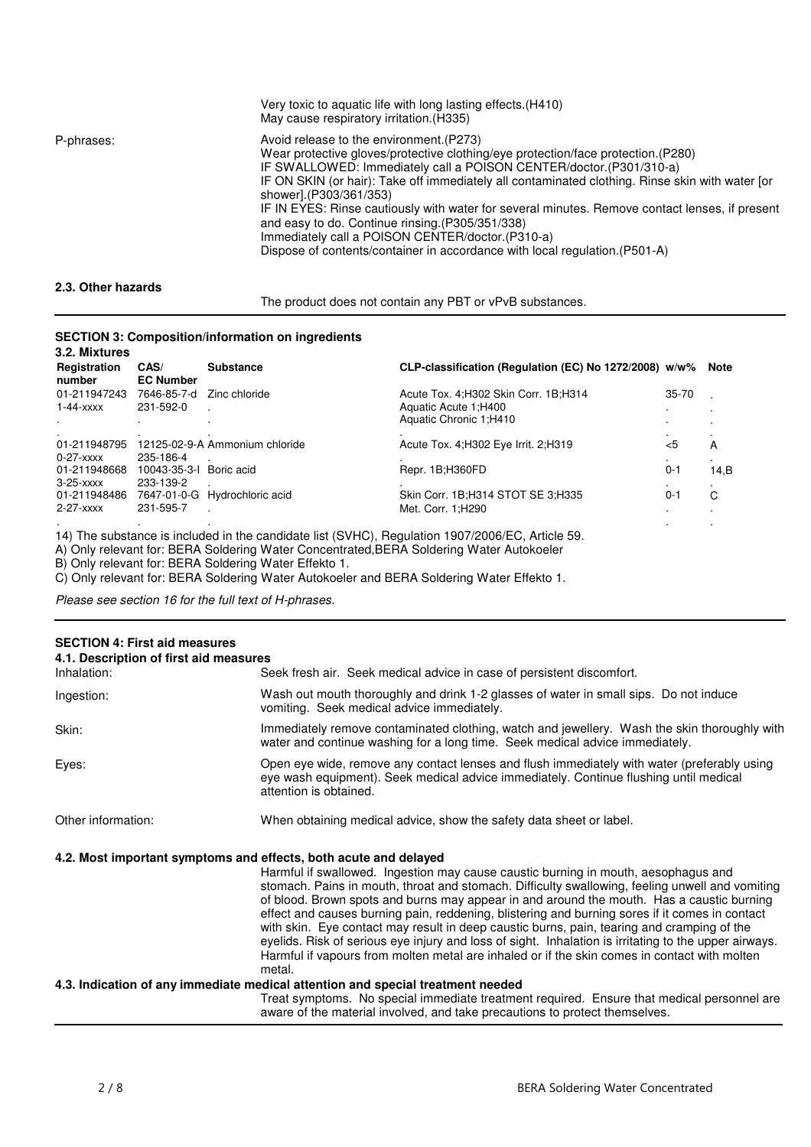|                    | Very toxic to aquatic life with long lasting effects. (H410)<br>May cause respiratory irritation. (H335)                                                                                                                                                                                                                                                                                                                                                                                                                                                                                                                  |
|--------------------|---------------------------------------------------------------------------------------------------------------------------------------------------------------------------------------------------------------------------------------------------------------------------------------------------------------------------------------------------------------------------------------------------------------------------------------------------------------------------------------------------------------------------------------------------------------------------------------------------------------------------|
| P-phrases:         | Avoid release to the environment.(P273)<br>Wear protective gloves/protective clothing/eye protection/face protection.(P280)<br>IF SWALLOWED: Immediately call a POISON CENTER/doctor. (P301/310-a)<br>IF ON SKIN (or hair): Take off immediately all contaminated clothing. Rinse skin with water for<br>shower].(P303/361/353)<br>IF IN EYES: Rinse cautiously with water for several minutes. Remove contact lenses, if present<br>and easy to do. Continue rinsing. (P305/351/338)<br>Immediately call a POISON CENTER/doctor. (P310-a)<br>Dispose of contents/container in accordance with local regulation. (P501-A) |
| 2.3. Other hazards |                                                                                                                                                                                                                                                                                                                                                                                                                                                                                                                                                                                                                           |

The product does not contain any PBT or vPvB substances.

## **SECTION 3: Composition/information on ingredients**

| 3.2. Mixtures<br>Registration<br>number | CAS/<br><b>EC Number</b> | <b>Substance</b>               | CLP-classification (Regulation (EC) No 1272/2008) w/w% |         | Note |
|-----------------------------------------|--------------------------|--------------------------------|--------------------------------------------------------|---------|------|
| 01-211947243                            | 7646-85-7-d              | Zinc chloride                  | Acute Tox. 4: H302 Skin Corr. 1B: H314                 | 35-70   |      |
| $1-44-xxxx$                             | 231-592-0                |                                | Aquatic Acute 1; H400                                  |         |      |
|                                         |                          |                                | Aquatic Chronic 1:H410                                 |         |      |
| 01-211948795<br>$0-27-xxxx$             | 235-186-4                | 12125-02-9-A Ammonium chloride | Acute Tox. 4; H302 Eye Irrit. 2; H319                  | $5$     | A    |
| 01-211948668                            | 10043-35-3-1 Boric acid  |                                | Repr. 1B;H360FD                                        | $0 - 1$ | 14,B |
| $3-25-xxxx$                             | 233-139-2                |                                |                                                        |         |      |
| 01-211948486                            |                          | 7647-01-0-G Hydrochloric acid  | Skin Corr. 1B; H314 STOT SE 3; H335                    | $0 - 1$ | C    |
| $2-27-xxxx$                             | 231-595-7                |                                | Met. Corr. 1; H290                                     |         |      |
|                                         |                          |                                |                                                        |         |      |

14) The substance is included in the candidate list (SVHC), Regulation 1907/2006/EC, Article 59.

A) Only relevant for: BERA Soldering Water Concentrated,BERA Soldering Water Autokoeler

B) Only relevant for: BERA Soldering Water Effekto 1.

C) Only relevant for: BERA Soldering Water Autokoeler and BERA Soldering Water Effekto 1.

Please see section 16 for the full text of H-phrases.

| <b>SECTION 4: First aid measures</b><br>4.1. Description of first aid measures |                                                                                                                                                                                                                                                                                                                                                                                                                                                                                                                                                                                                                                                                                                       |
|--------------------------------------------------------------------------------|-------------------------------------------------------------------------------------------------------------------------------------------------------------------------------------------------------------------------------------------------------------------------------------------------------------------------------------------------------------------------------------------------------------------------------------------------------------------------------------------------------------------------------------------------------------------------------------------------------------------------------------------------------------------------------------------------------|
| Inhalation:                                                                    | Seek fresh air. Seek medical advice in case of persistent discomfort.                                                                                                                                                                                                                                                                                                                                                                                                                                                                                                                                                                                                                                 |
| Ingestion:                                                                     | Wash out mouth thoroughly and drink 1-2 glasses of water in small sips. Do not induce<br>vomiting. Seek medical advice immediately.                                                                                                                                                                                                                                                                                                                                                                                                                                                                                                                                                                   |
| Skin:                                                                          | Immediately remove contaminated clothing, watch and jewellery. Wash the skin thoroughly with<br>water and continue washing for a long time. Seek medical advice immediately.                                                                                                                                                                                                                                                                                                                                                                                                                                                                                                                          |
| Eyes:                                                                          | Open eye wide, remove any contact lenses and flush immediately with water (preferably using<br>eye wash equipment). Seek medical advice immediately. Continue flushing until medical<br>attention is obtained.                                                                                                                                                                                                                                                                                                                                                                                                                                                                                        |
| Other information:                                                             | When obtaining medical advice, show the safety data sheet or label.                                                                                                                                                                                                                                                                                                                                                                                                                                                                                                                                                                                                                                   |
| 4.2. Most important symptoms and effects, both acute and delayed               |                                                                                                                                                                                                                                                                                                                                                                                                                                                                                                                                                                                                                                                                                                       |
|                                                                                | Harmful if swallowed. Ingestion may cause caustic burning in mouth, aesophagus and<br>stomach. Pains in mouth, throat and stomach. Difficulty swallowing, feeling unwell and vomiting<br>of blood. Brown spots and burns may appear in and around the mouth. Has a caustic burning<br>effect and causes burning pain, reddening, blistering and burning sores if it comes in contact<br>with skin. Eye contact may result in deep caustic burns, pain, tearing and cramping of the<br>eyelids. Risk of serious eye injury and loss of sight. Inhalation is irritating to the upper airways.<br>Harmful if vapours from molten metal are inhaled or if the skin comes in contact with molten<br>metal. |
|                                                                                | 4.3. Indication of any immediate medical attention and special treatment needed                                                                                                                                                                                                                                                                                                                                                                                                                                                                                                                                                                                                                       |
|                                                                                | Treat symptoms. No special immediate treatment required. Ensure that medical personnel are<br>aware of the material involved, and take precautions to protect themselves.                                                                                                                                                                                                                                                                                                                                                                                                                                                                                                                             |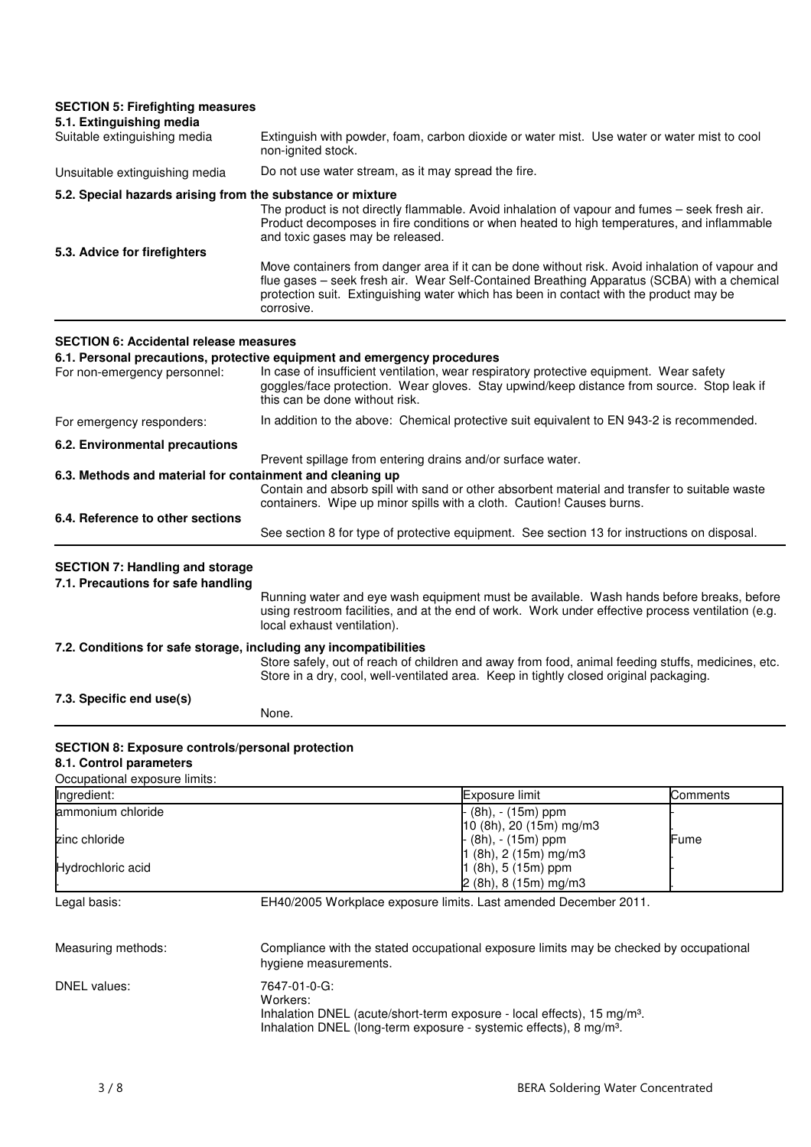| <b>SECTION 5: Firefighting measures</b>                                                                             |                                                             |                                                                                                                                                                                                                                                                                          |          |
|---------------------------------------------------------------------------------------------------------------------|-------------------------------------------------------------|------------------------------------------------------------------------------------------------------------------------------------------------------------------------------------------------------------------------------------------------------------------------------------------|----------|
| 5.1. Extinguishing media<br>Suitable extinguishing media                                                            | non-ignited stock.                                          | Extinguish with powder, foam, carbon dioxide or water mist. Use water or water mist to cool                                                                                                                                                                                              |          |
| Unsuitable extinguishing media                                                                                      | Do not use water stream, as it may spread the fire.         |                                                                                                                                                                                                                                                                                          |          |
| 5.2. Special hazards arising from the substance or mixture                                                          |                                                             |                                                                                                                                                                                                                                                                                          |          |
|                                                                                                                     | and toxic gases may be released.                            | The product is not directly flammable. Avoid inhalation of vapour and fumes - seek fresh air.<br>Product decomposes in fire conditions or when heated to high temperatures, and inflammable                                                                                              |          |
| 5.3. Advice for firefighters                                                                                        | corrosive.                                                  | Move containers from danger area if it can be done without risk. Avoid inhalation of vapour and<br>flue gases - seek fresh air. Wear Self-Contained Breathing Apparatus (SCBA) with a chemical<br>protection suit. Extinguishing water which has been in contact with the product may be |          |
| <b>SECTION 6: Accidental release measures</b>                                                                       |                                                             |                                                                                                                                                                                                                                                                                          |          |
| 6.1. Personal precautions, protective equipment and emergency procedures<br>For non-emergency personnel:            | this can be done without risk.                              | In case of insufficient ventilation, wear respiratory protective equipment. Wear safety<br>goggles/face protection. Wear gloves. Stay upwind/keep distance from source. Stop leak if                                                                                                     |          |
| For emergency responders:                                                                                           |                                                             | In addition to the above: Chemical protective suit equivalent to EN 943-2 is recommended.                                                                                                                                                                                                |          |
| 6.2. Environmental precautions                                                                                      |                                                             |                                                                                                                                                                                                                                                                                          |          |
| 6.3. Methods and material for containment and cleaning up                                                           | Prevent spillage from entering drains and/or surface water. |                                                                                                                                                                                                                                                                                          |          |
|                                                                                                                     |                                                             | Contain and absorb spill with sand or other absorbent material and transfer to suitable waste<br>containers. Wipe up minor spills with a cloth. Caution! Causes burns.                                                                                                                   |          |
| 6.4. Reference to other sections                                                                                    |                                                             | See section 8 for type of protective equipment. See section 13 for instructions on disposal.                                                                                                                                                                                             |          |
| <b>SECTION 7: Handling and storage</b><br>7.1. Precautions for safe handling                                        | local exhaust ventilation).                                 | Running water and eye wash equipment must be available. Wash hands before breaks, before<br>using restroom facilities, and at the end of work. Work under effective process ventilation (e.g.                                                                                            |          |
| 7.2. Conditions for safe storage, including any incompatibilities                                                   |                                                             | Store safely, out of reach of children and away from food, animal feeding stuffs, medicines, etc.<br>Store in a dry, cool, well-ventilated area. Keep in tightly closed original packaging.                                                                                              |          |
| 7.3. Specific end use(s)                                                                                            | None.                                                       |                                                                                                                                                                                                                                                                                          |          |
| <b>SECTION 8: Exposure controls/personal protection</b><br>8.1. Control parameters<br>Occupational exposure limits: |                                                             |                                                                                                                                                                                                                                                                                          |          |
| Ingredient:                                                                                                         |                                                             | Exposure limit                                                                                                                                                                                                                                                                           | Comments |
| ammonium chloride                                                                                                   |                                                             | (8h), - (15m) ppm                                                                                                                                                                                                                                                                        |          |
| zinc chloride                                                                                                       |                                                             | 10 (8h), 20 (15m) mg/m3<br>(8h), - (15m) ppm                                                                                                                                                                                                                                             | Fume     |
| Hydrochloric acid                                                                                                   |                                                             | $1$ (8h), 2 (15m) mg/m3<br>1 (8h), 5 (15m) ppm<br>$2(8h), 8(15m)$ mg/m3                                                                                                                                                                                                                  |          |
| Legal basis:                                                                                                        |                                                             | EH40/2005 Workplace exposure limits. Last amended December 2011.                                                                                                                                                                                                                         |          |
| Measuring methods:                                                                                                  | hygiene measurements.                                       | Compliance with the stated occupational exposure limits may be checked by occupational                                                                                                                                                                                                   |          |
| DNEL values:                                                                                                        | 7647-01-0-G:<br>Workers:                                    | Inhalation DNEL (acute/short-term exposure - local effects), 15 mg/m <sup>3</sup> .<br>Inhalation DNEL (long-term exposure - systemic effects), 8 mg/m <sup>3</sup> .                                                                                                                    |          |
| 3/8                                                                                                                 |                                                             | <b>BERA Soldering Water Concentrated</b>                                                                                                                                                                                                                                                 |          |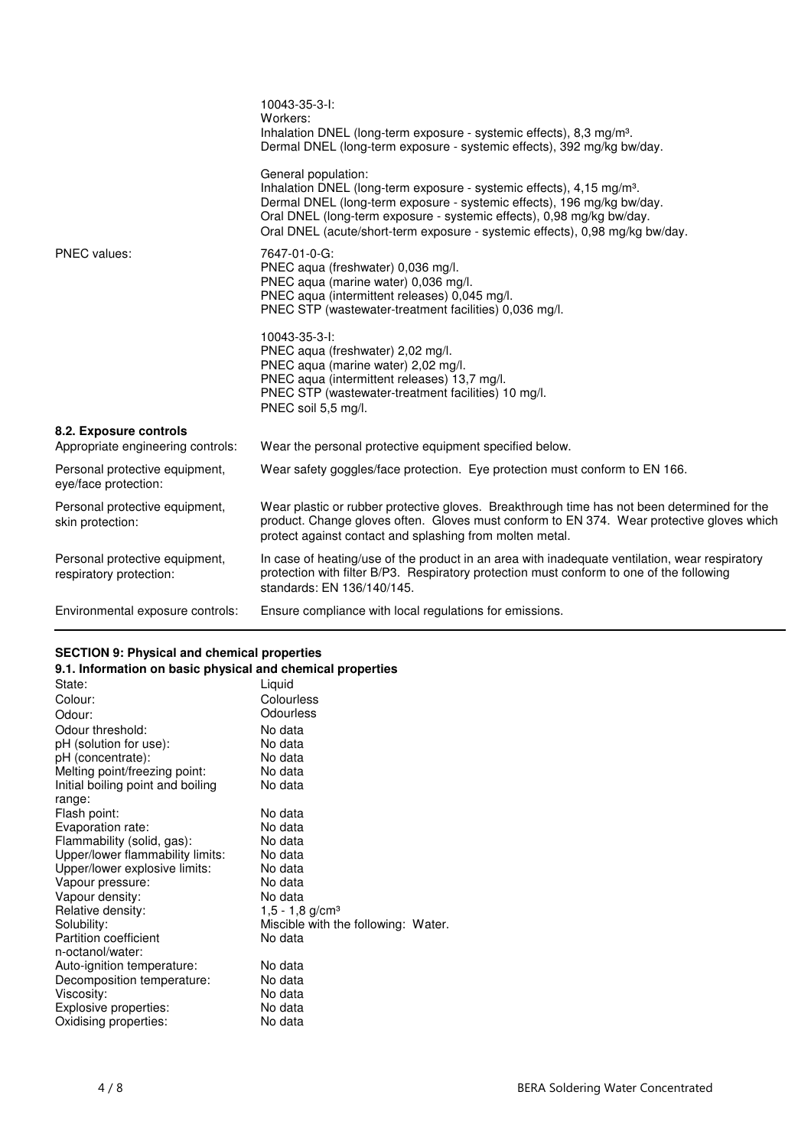|                                                             | 10043-35-3-I:<br>Workers:<br>Inhalation DNEL (long-term exposure - systemic effects), 8,3 mg/m <sup>3</sup> .<br>Dermal DNEL (long-term exposure - systemic effects), 392 mg/kg bw/day.                                                                                                                                                     |
|-------------------------------------------------------------|---------------------------------------------------------------------------------------------------------------------------------------------------------------------------------------------------------------------------------------------------------------------------------------------------------------------------------------------|
|                                                             | General population:<br>Inhalation DNEL (long-term exposure - systemic effects), 4,15 mg/m <sup>3</sup> .<br>Dermal DNEL (long-term exposure - systemic effects), 196 mg/kg bw/day.<br>Oral DNEL (long-term exposure - systemic effects), 0,98 mg/kg bw/day.<br>Oral DNEL (acute/short-term exposure - systemic effects), 0,98 mg/kg bw/day. |
| <b>PNEC</b> values:                                         | 7647-01-0-G:<br>PNEC aqua (freshwater) 0,036 mg/l.<br>PNEC aqua (marine water) 0,036 mg/l.<br>PNEC aqua (intermittent releases) 0,045 mg/l.<br>PNEC STP (wastewater-treatment facilities) 0,036 mg/l.                                                                                                                                       |
|                                                             | 10043-35-3-I:<br>PNEC aqua (freshwater) 2,02 mg/l.<br>PNEC aqua (marine water) 2,02 mg/l.<br>PNEC aqua (intermittent releases) 13,7 mg/l.<br>PNEC STP (wastewater-treatment facilities) 10 mg/l.<br>PNEC soil 5,5 mg/l.                                                                                                                     |
| 8.2. Exposure controls<br>Appropriate engineering controls: | Wear the personal protective equipment specified below.                                                                                                                                                                                                                                                                                     |
| Personal protective equipment,<br>eye/face protection:      | Wear safety goggles/face protection. Eye protection must conform to EN 166.                                                                                                                                                                                                                                                                 |
| Personal protective equipment,<br>skin protection:          | Wear plastic or rubber protective gloves. Breakthrough time has not been determined for the<br>product. Change gloves often. Gloves must conform to EN 374. Wear protective gloves which<br>protect against contact and splashing from molten metal.                                                                                        |
| Personal protective equipment,<br>respiratory protection:   | In case of heating/use of the product in an area with inadequate ventilation, wear respiratory<br>protection with filter B/P3. Respiratory protection must conform to one of the following<br>standards: EN 136/140/145.                                                                                                                    |
| Environmental exposure controls:                            | Ensure compliance with local regulations for emissions.                                                                                                                                                                                                                                                                                     |

# **SECTION 9: Physical and chemical properties**

| 9.1. Information on basic physical and chemical properties |                                     |  |
|------------------------------------------------------------|-------------------------------------|--|
| State:                                                     | Liquid                              |  |
| Colour:                                                    | Colourless                          |  |
| Odour:                                                     | Odourless                           |  |
| Odour threshold:                                           | No data                             |  |
| pH (solution for use):                                     | No data                             |  |
| pH (concentrate):                                          | No data                             |  |
| Melting point/freezing point:                              | No data                             |  |
| Initial boiling point and boiling                          | No data                             |  |
| range:                                                     |                                     |  |
| Flash point:                                               | No data                             |  |
| Evaporation rate:                                          | No data                             |  |
| Flammability (solid, gas):                                 | No data                             |  |
| Upper/lower flammability limits:                           | No data                             |  |
| Upper/lower explosive limits:                              | No data                             |  |
| Vapour pressure:                                           | No data                             |  |
| Vapour density:                                            | No data                             |  |
| Relative density:                                          | 1,5 - 1,8 g/cm <sup>3</sup>         |  |
| Solubility:                                                | Miscible with the following: Water. |  |
| <b>Partition coefficient</b>                               | No data                             |  |
| n-octanol/water:                                           |                                     |  |
| Auto-ignition temperature:                                 | No data                             |  |
| Decomposition temperature:                                 | No data                             |  |
| Viscosity:                                                 | No data                             |  |
| Explosive properties:                                      | No data                             |  |
| Oxidising properties:                                      | No data                             |  |
|                                                            |                                     |  |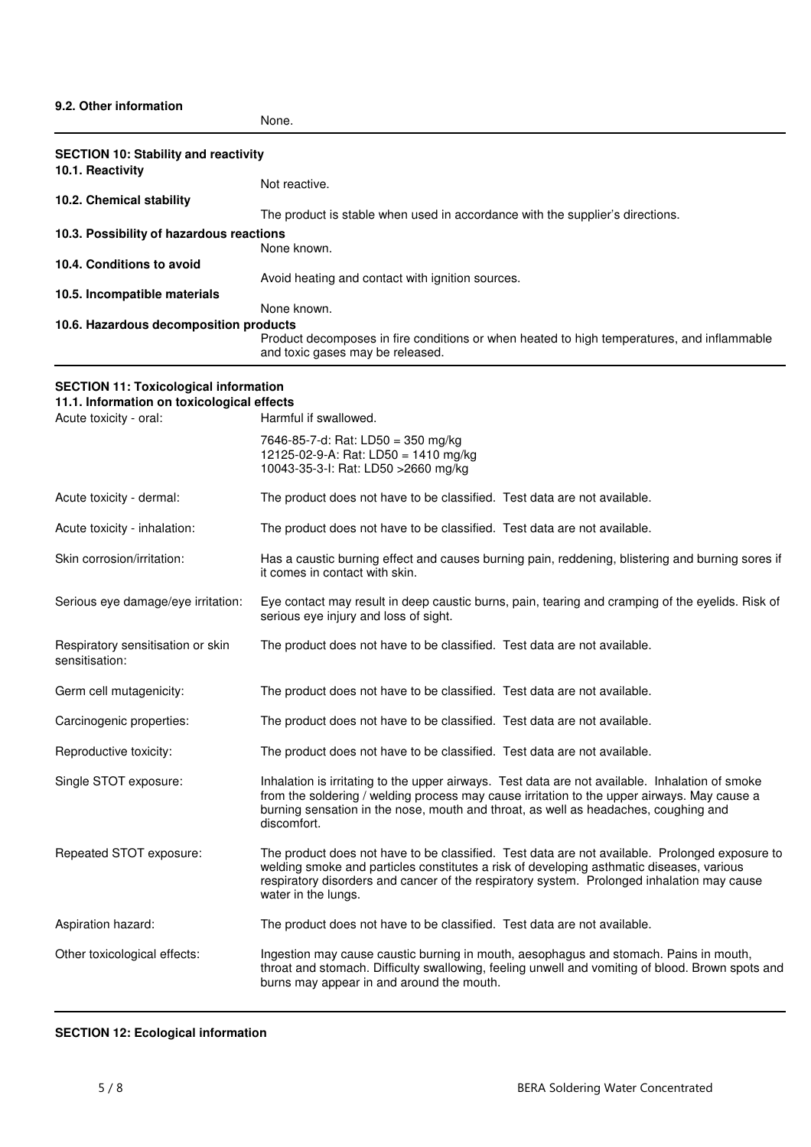### **9.2. Other information**

| None |  |
|------|--|
|------|--|

| <b>SECTION 10: Stability and reactivity</b><br>10.1. Reactivity      |                                                                                                                                                                                                                                                                                                                 |
|----------------------------------------------------------------------|-----------------------------------------------------------------------------------------------------------------------------------------------------------------------------------------------------------------------------------------------------------------------------------------------------------------|
|                                                                      | Not reactive.                                                                                                                                                                                                                                                                                                   |
| 10.2. Chemical stability                                             | The product is stable when used in accordance with the supplier's directions.                                                                                                                                                                                                                                   |
| 10.3. Possibility of hazardous reactions                             | None known.                                                                                                                                                                                                                                                                                                     |
| 10.4. Conditions to avoid                                            | Avoid heating and contact with ignition sources.                                                                                                                                                                                                                                                                |
| 10.5. Incompatible materials                                         |                                                                                                                                                                                                                                                                                                                 |
| 10.6. Hazardous decomposition products                               | None known.                                                                                                                                                                                                                                                                                                     |
|                                                                      | Product decomposes in fire conditions or when heated to high temperatures, and inflammable<br>and toxic gases may be released.                                                                                                                                                                                  |
| <b>SECTION 11: Toxicological information</b>                         |                                                                                                                                                                                                                                                                                                                 |
| 11.1. Information on toxicological effects<br>Acute toxicity - oral: | Harmful if swallowed.                                                                                                                                                                                                                                                                                           |
|                                                                      | 7646-85-7-d: Rat: LD50 = 350 mg/kg<br>12125-02-9-A: Rat: LD50 = 1410 mg/kg<br>10043-35-3-I: Rat: LD50 > 2660 mg/kg                                                                                                                                                                                              |
| Acute toxicity - dermal:                                             | The product does not have to be classified. Test data are not available.                                                                                                                                                                                                                                        |
| Acute toxicity - inhalation:                                         | The product does not have to be classified. Test data are not available.                                                                                                                                                                                                                                        |
| Skin corrosion/irritation:                                           | Has a caustic burning effect and causes burning pain, reddening, blistering and burning sores if<br>it comes in contact with skin.                                                                                                                                                                              |
| Serious eye damage/eye irritation:                                   | Eye contact may result in deep caustic burns, pain, tearing and cramping of the eyelids. Risk of<br>serious eye injury and loss of sight.                                                                                                                                                                       |
| Respiratory sensitisation or skin<br>sensitisation:                  | The product does not have to be classified. Test data are not available.                                                                                                                                                                                                                                        |
| Germ cell mutagenicity:                                              | The product does not have to be classified. Test data are not available.                                                                                                                                                                                                                                        |
| Carcinogenic properties:                                             | The product does not have to be classified. Test data are not available.                                                                                                                                                                                                                                        |
| Reproductive toxicity:                                               | The product does not have to be classified. Test data are not available.                                                                                                                                                                                                                                        |
| Single STOT exposure:                                                | Inhalation is irritating to the upper airways. Test data are not available. Inhalation of smoke<br>from the soldering / welding process may cause irritation to the upper airways. May cause a<br>burning sensation in the nose, mouth and throat, as well as headaches, coughing and<br>discomfort.            |
| Repeated STOT exposure:                                              | The product does not have to be classified. Test data are not available. Prolonged exposure to<br>welding smoke and particles constitutes a risk of developing asthmatic diseases, various<br>respiratory disorders and cancer of the respiratory system. Prolonged inhalation may cause<br>water in the lungs. |
| Aspiration hazard:                                                   | The product does not have to be classified. Test data are not available.                                                                                                                                                                                                                                        |
| Other toxicological effects:                                         | Ingestion may cause caustic burning in mouth, aesophagus and stomach. Pains in mouth,<br>throat and stomach. Difficulty swallowing, feeling unwell and vomiting of blood. Brown spots and<br>burns may appear in and around the mouth.                                                                          |

#### **SECTION 12: Ecological information**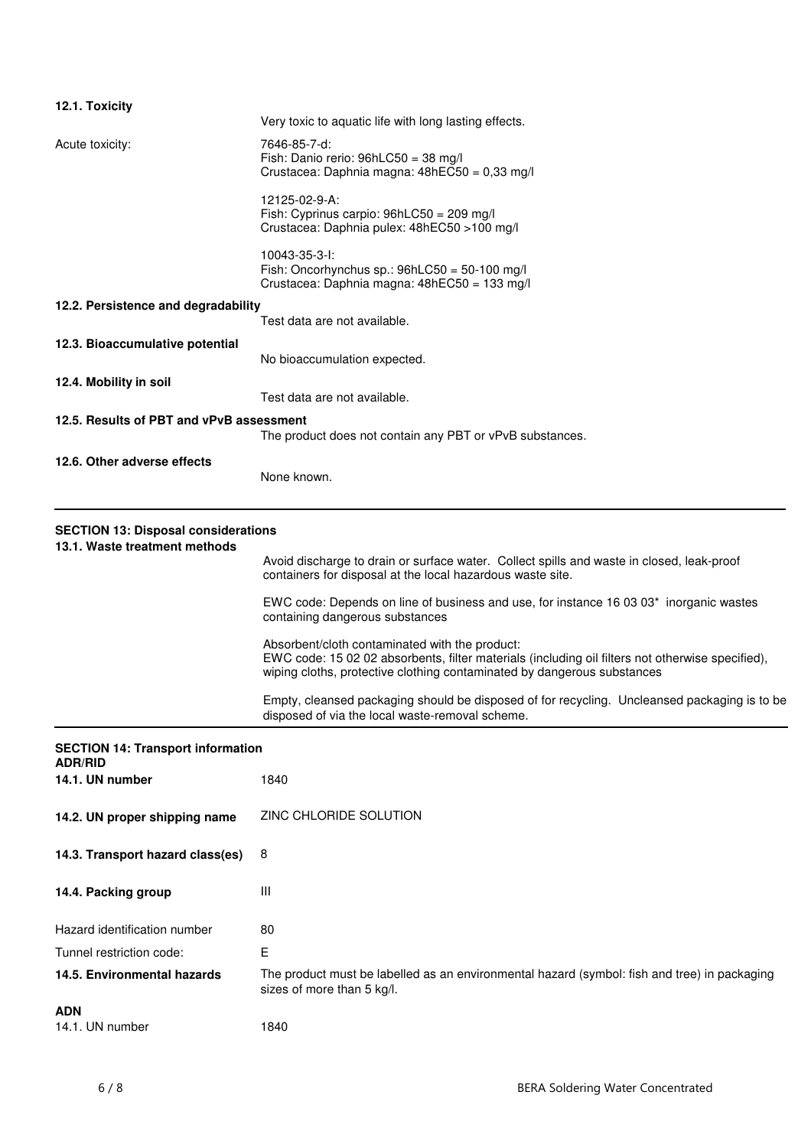| 12.1. Toxicity                                                              | Very toxic to aquatic life with long lasting effects.                                                                                                                                                                         |
|-----------------------------------------------------------------------------|-------------------------------------------------------------------------------------------------------------------------------------------------------------------------------------------------------------------------------|
|                                                                             | 7646-85-7-d:                                                                                                                                                                                                                  |
| Acute toxicity:                                                             | Fish: Danio rerio: 96hLC50 = 38 mg/l<br>Crustacea: Daphnia magna: 48hEC50 = 0,33 mg/l                                                                                                                                         |
|                                                                             | 12125-02-9-A:<br>Fish: Cyprinus carpio: 96hLC50 = 209 mg/l<br>Crustacea: Daphnia pulex: 48hEC50 >100 mg/l                                                                                                                     |
|                                                                             | 10043-35-3-I:<br>Fish: Oncorhynchus sp.: $96h$ LC50 = 50-100 mg/l<br>Crustacea: Daphnia magna: 48hEC50 = 133 mg/l                                                                                                             |
| 12.2. Persistence and degradability                                         | Test data are not available.                                                                                                                                                                                                  |
| 12.3. Bioaccumulative potential                                             | No bioaccumulation expected.                                                                                                                                                                                                  |
| 12.4. Mobility in soil                                                      | Test data are not available.                                                                                                                                                                                                  |
| 12.5. Results of PBT and vPvB assessment                                    |                                                                                                                                                                                                                               |
|                                                                             | The product does not contain any PBT or vPvB substances.                                                                                                                                                                      |
| 12.6. Other adverse effects                                                 | None known.                                                                                                                                                                                                                   |
| <b>SECTION 13: Disposal considerations</b><br>13.1. Waste treatment methods |                                                                                                                                                                                                                               |
|                                                                             | Avoid discharge to drain or surface water. Collect spills and waste in closed, leak-proof<br>containers for disposal at the local hazardous waste site.                                                                       |
|                                                                             | EWC code: Depends on line of business and use, for instance 16 03 03 <sup>*</sup> inorganic wastes<br>containing dangerous substances                                                                                         |
|                                                                             | Absorbent/cloth contaminated with the product:<br>EWC code: 15 02 02 absorbents, filter materials (including oil filters not otherwise specified),<br>wiping cloths, protective clothing contaminated by dangerous substances |
|                                                                             | Empty, cleansed packaging should be disposed of for recycling. Uncleansed packaging is to be<br>disposed of via the local waste-removal scheme.                                                                               |
| <b>SECTION 14: Transport information</b><br><b>ADR/RID</b>                  |                                                                                                                                                                                                                               |
| 14.1. UN number                                                             | 1840                                                                                                                                                                                                                          |
| 14.2. UN proper shipping name                                               | ZINC CHLORIDE SOLUTION                                                                                                                                                                                                        |
| 14.3. Transport hazard class(es)                                            | 8                                                                                                                                                                                                                             |
| 14.4. Packing group                                                         | Ш                                                                                                                                                                                                                             |
| Hazard identification number                                                | 80                                                                                                                                                                                                                            |
| Tunnel restriction code:                                                    | E                                                                                                                                                                                                                             |
| 14.5. Environmental hazards                                                 | The product must be labelled as an environmental hazard (symbol: fish and tree) in packaging<br>sizes of more than 5 kg/l.                                                                                                    |
| <b>ADN</b><br>14.1. UN number                                               | 1840                                                                                                                                                                                                                          |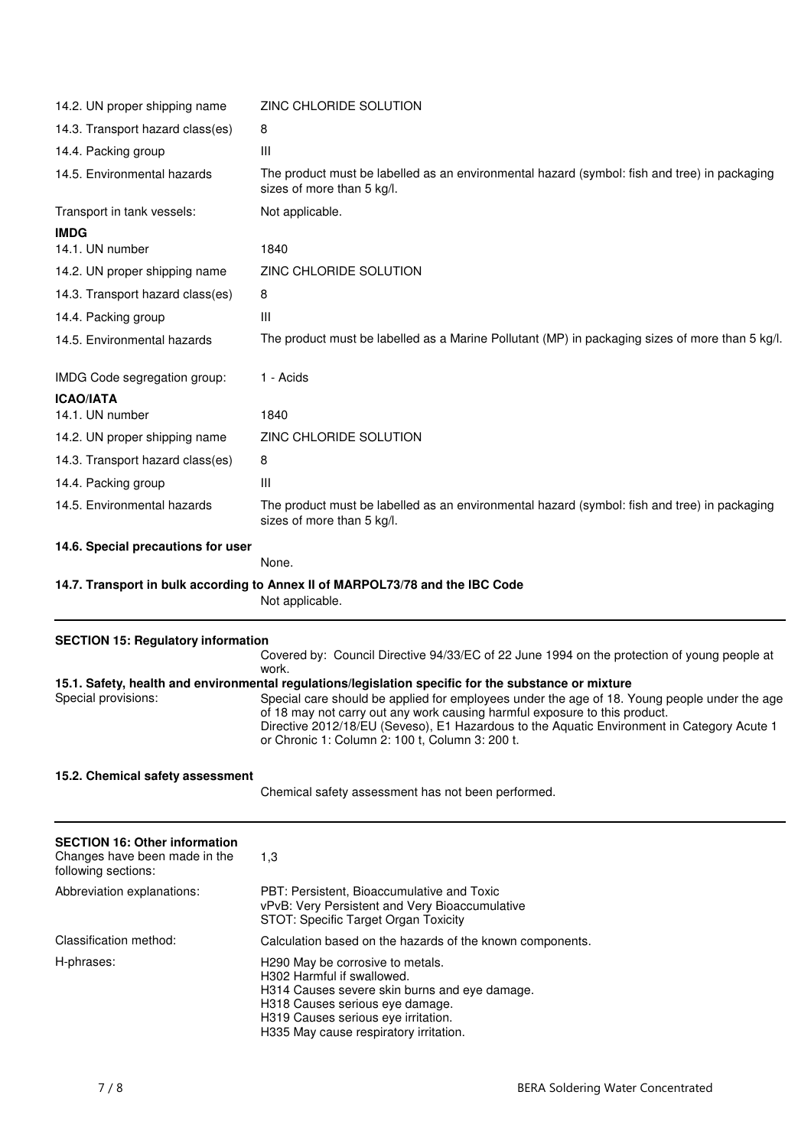| 14.2. UN proper shipping name                                                                | ZINC CHLORIDE SOLUTION                                                                                                                                                                                                                                                                                                                                                                                                              |
|----------------------------------------------------------------------------------------------|-------------------------------------------------------------------------------------------------------------------------------------------------------------------------------------------------------------------------------------------------------------------------------------------------------------------------------------------------------------------------------------------------------------------------------------|
| 14.3. Transport hazard class(es)                                                             | 8                                                                                                                                                                                                                                                                                                                                                                                                                                   |
| 14.4. Packing group                                                                          | Ш                                                                                                                                                                                                                                                                                                                                                                                                                                   |
| 14.5. Environmental hazards                                                                  | The product must be labelled as an environmental hazard (symbol: fish and tree) in packaging<br>sizes of more than 5 kg/l.                                                                                                                                                                                                                                                                                                          |
| Transport in tank vessels:                                                                   | Not applicable.                                                                                                                                                                                                                                                                                                                                                                                                                     |
| <b>IMDG</b>                                                                                  |                                                                                                                                                                                                                                                                                                                                                                                                                                     |
| 14.1. UN number                                                                              | 1840                                                                                                                                                                                                                                                                                                                                                                                                                                |
| 14.2. UN proper shipping name                                                                | ZINC CHLORIDE SOLUTION                                                                                                                                                                                                                                                                                                                                                                                                              |
| 14.3. Transport hazard class(es)                                                             | 8                                                                                                                                                                                                                                                                                                                                                                                                                                   |
| 14.4. Packing group                                                                          | Ш                                                                                                                                                                                                                                                                                                                                                                                                                                   |
| 14.5. Environmental hazards                                                                  | The product must be labelled as a Marine Pollutant (MP) in packaging sizes of more than 5 kg/l.                                                                                                                                                                                                                                                                                                                                     |
| IMDG Code segregation group:                                                                 | 1 - Acids                                                                                                                                                                                                                                                                                                                                                                                                                           |
| <b>ICAO/IATA</b><br>14.1. UN number                                                          | 1840                                                                                                                                                                                                                                                                                                                                                                                                                                |
| 14.2. UN proper shipping name                                                                | ZINC CHLORIDE SOLUTION                                                                                                                                                                                                                                                                                                                                                                                                              |
| 14.3. Transport hazard class(es)                                                             | 8                                                                                                                                                                                                                                                                                                                                                                                                                                   |
| 14.4. Packing group                                                                          | Ш                                                                                                                                                                                                                                                                                                                                                                                                                                   |
| 14.5. Environmental hazards                                                                  | The product must be labelled as an environmental hazard (symbol: fish and tree) in packaging<br>sizes of more than 5 kg/l.                                                                                                                                                                                                                                                                                                          |
| 14.6. Special precautions for user                                                           | None.                                                                                                                                                                                                                                                                                                                                                                                                                               |
|                                                                                              | 14.7. Transport in bulk according to Annex II of MARPOL73/78 and the IBC Code<br>Not applicable.                                                                                                                                                                                                                                                                                                                                    |
| <b>SECTION 15: Regulatory information</b>                                                    | Covered by: Council Directive 94/33/EC of 22 June 1994 on the protection of young people at<br>work.                                                                                                                                                                                                                                                                                                                                |
| Special provisions:                                                                          | 15.1. Safety, health and environmental regulations/legislation specific for the substance or mixture<br>Special care should be applied for employees under the age of 18. Young people under the age<br>of 18 may not carry out any work causing harmful exposure to this product.<br>Directive 2012/18/EU (Seveso), E1 Hazardous to the Aquatic Environment in Category Acute 1<br>or Chronic 1: Column 2: 100 t, Column 3: 200 t. |
| 15.2. Chemical safety assessment                                                             | Chemical safety assessment has not been performed.                                                                                                                                                                                                                                                                                                                                                                                  |
| <b>SECTION 16: Other information</b><br>Changes have been made in the<br>following sections: | 1,3                                                                                                                                                                                                                                                                                                                                                                                                                                 |
| Abbreviation explanations:                                                                   | PBT: Persistent, Bioaccumulative and Toxic<br>vPvB: Very Persistent and Very Bioaccumulative<br>STOT: Specific Target Organ Toxicity                                                                                                                                                                                                                                                                                                |
| Classification method:                                                                       | Calculation based on the hazards of the known components.                                                                                                                                                                                                                                                                                                                                                                           |
| H-phrases:                                                                                   | H290 May be corrosive to metals.<br>H302 Harmful if swallowed.<br>H314 Causes severe skin burns and eye damage.                                                                                                                                                                                                                                                                                                                     |